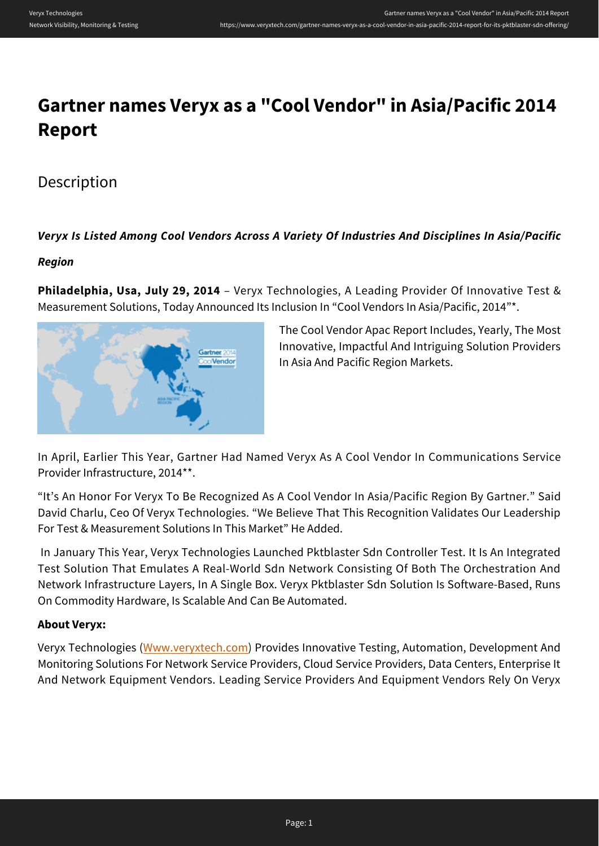# **Gartner names Veryx as a "Cool Vendor" in Asia/Pacific 2014 Report**

## Description

#### *Veryx Is Listed Among Cool Vendors Across A Variety Of Industries And Disciplines In Asia/Pacific*

#### *Region*

**Philadelphia, Usa, July 29, 2014** – Veryx Technologies, A Leading Provider Of Innovative Test & Measurement Solutions, Today Announced Its Inclusion In "Cool Vendors In Asia/Pacific, 2014"\*.



The Cool Vendor Apac Report Includes, Yearly, The Most Innovative, Impactful And Intriguing Solution Providers In Asia And Pacific Region Markets.

In April, Earlier This Year, Gartner Had Named Veryx As A Cool Vendor In Communications Service Provider Infrastructure, 2014\*\*.

"It's An Honor For Veryx To Be Recognized As A Cool Vendor In Asia/Pacific Region By Gartner." Said David Charlu, Ceo Of Veryx Technologies. "We Believe That This Recognition Validates Our Leadership For Test & Measurement Solutions In This Market" He Added.

 In January This Year, Veryx Technologies Launched Pktblaster Sdn Controller Test. It Is An Integrated Test Solution That Emulates A Real-World Sdn Network Consisting Of Both The Orchestration And Network Infrastructure Layers, In A Single Box. Veryx Pktblaster Sdn Solution Is Software-Based, Runs On Commodity Hardware, Is Scalable And Can Be Automated.

#### **About Veryx:**

Veryx Technologies [\(Www.veryxtech.com\)](https://www.veryxtech.com) Provides Innovative Testing, Automation, Development And Monitoring Solutions For Network Service Providers, Cloud Service Providers, Data Centers, Enterprise It And Network Equipment Vendors. Leading Service Providers And Equipment Vendors Rely On Veryx